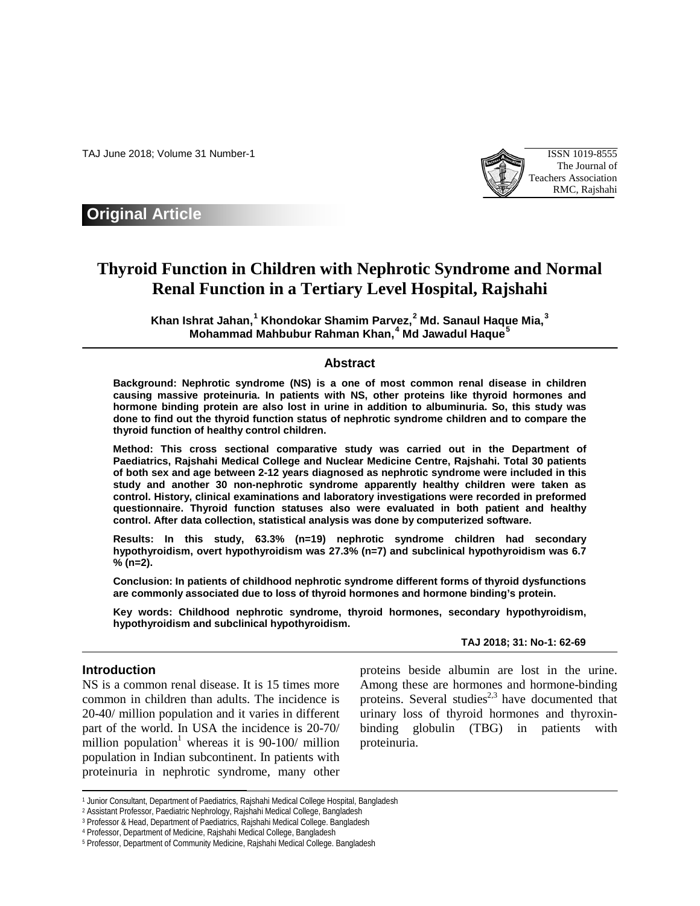TAJ June 2018; Volume 31 Number-1 ISSN 1019-8555



## **Original Article**

# **Thyroid Function in Children with Nephrotic Syndrome and Normal Renal Function in a Tertiary Level Hospital, Rajshahi**

**Khan Ishrat Jahan, [1](#page-0-0) Khondokar Shamim Parvez, [2](#page-0-1) Md. Sanaul Haque Mia, [3](#page-0-2) Mohammad Mahbubur Rahman Khan, [4](#page-0-3) Md Jawadul Haque[5](#page-0-4)**

## **Abstract**

**Background: Nephrotic syndrome (NS) is a one of most common renal disease in children causing massive proteinuria. In patients with NS, other proteins like thyroid hormones and hormone binding protein are also lost in urine in addition to albuminuria. So, this study was done to find out the thyroid function status of nephrotic syndrome children and to compare the thyroid function of healthy control children.** 

**Method: This cross sectional comparative study was carried out in the Department of Paediatrics, Rajshahi Medical College and Nuclear Medicine Centre, Rajshahi. Total 30 patients of both sex and age between 2-12 years diagnosed as nephrotic syndrome were included in this study and another 30 non-nephrotic syndrome apparently healthy children were taken as control. History, clinical examinations and laboratory investigations were recorded in preformed questionnaire. Thyroid function statuses also were evaluated in both patient and healthy control. After data collection, statistical analysis was done by computerized software.** 

**Results: In this study, 63.3% (n=19) nephrotic syndrome children had secondary hypothyroidism, overt hypothyroidism was 27.3% (n=7) and subclinical hypothyroidism was 6.7 % (n=2).** 

**Conclusion: In patients of childhood nephrotic syndrome different forms of thyroid dysfunctions are commonly associated due to loss of thyroid hormones and hormone binding's protein.**

**Key words: Childhood nephrotic syndrome, thyroid hormones, secondary hypothyroidism, hypothyroidism and subclinical hypothyroidism.**

## **TAJ 2018; 31: No-1: 62-69**

## **Introduction**

 $\overline{a}$ 

NS is a common renal disease. It is 15 times more common in children than adults. The incidence is 20-40/ million population and it varies in different part of the world. In USA the incidence is 20-70/ million population<sup>1</sup> whereas it is  $90-100/$  million population in Indian subcontinent. In patients with proteinuria in nephrotic syndrome, many other proteins beside albumin are lost in the urine. Among these are hormones and hormone-binding proteins. Several studies<sup>2,3</sup> have documented that urinary loss of thyroid hormones and thyroxinbinding globulin (TBG) in patients with proteinuria.

<sup>&</sup>lt;sup>1</sup> Junior Consultant, Department of Paediatrics, Rajshahi Medical College Hospital, Bangladesh

<span id="page-0-2"></span><span id="page-0-1"></span><span id="page-0-0"></span><sup>2</sup> Assistant Professor, Paediatric Nephrology, Rajshahi Medical College, Bangladesh

<sup>3</sup> Professor & Head, Department of Paediatrics, Rajshahi Medical College. Bangladesh

<span id="page-0-3"></span><sup>4</sup> Professor, Department of Medicine, Rajshahi Medical College, Bangladesh

<span id="page-0-4"></span><sup>5</sup> Professor, Department of Community Medicine, Rajshahi Medical College. Bangladesh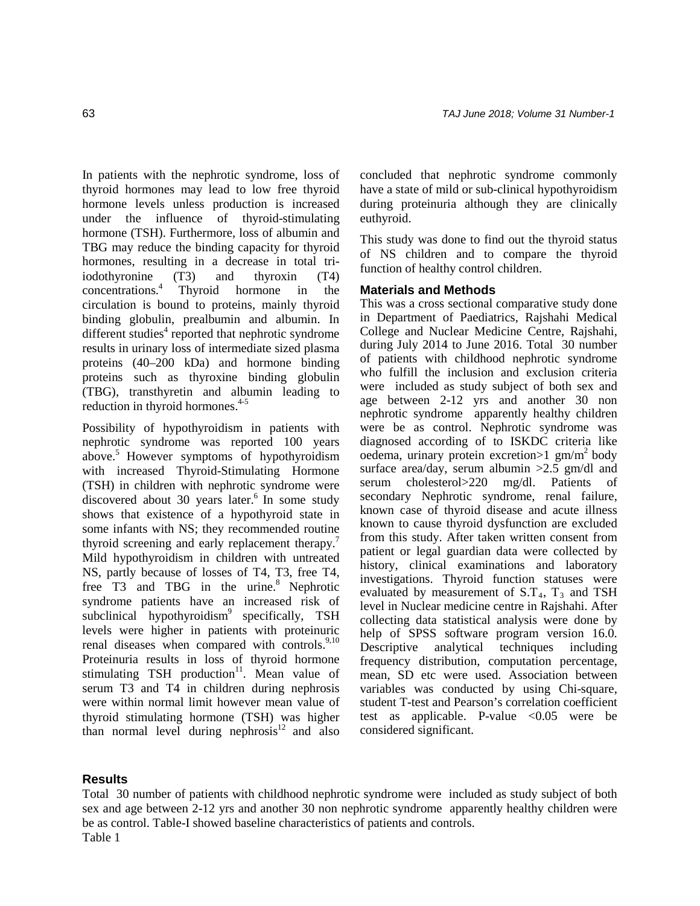In patients with the nephrotic syndrome, loss of thyroid hormones may lead to low free thyroid hormone levels unless production is increased under the influence of thyroid-stimulating hormone (TSH). Furthermore, loss of albumin and TBG may reduce the binding capacity for thyroid hormones, resulting in a decrease in total triiodothyronine (T3) and thyroxin (T4) concentrations.4 Thyroid hormone in the circulation is bound to proteins, mainly thyroid binding globulin, prealbumin and albumin. In different studies $4$  reported that nephrotic syndrome results in urinary loss of intermediate sized plasma proteins (40–200 kDa) and hormone binding proteins such as thyroxine binding globulin (TBG), transthyretin and albumin leading to reduction in thyroid hormones.<sup>4-5</sup>

Possibility of hypothyroidism in patients with nephrotic syndrome was reported 100 years above.5 However symptoms of hypothyroidism with increased Thyroid-Stimulating Hormone (TSH) in children with nephrotic syndrome were discovered about 30 years later.<sup>6</sup> In some study shows that existence of a hypothyroid state in some infants with NS; they recommended routine thyroid screening and early replacement therapy.<sup>7</sup> Mild hypothyroidism in children with untreated NS, partly because of losses of T4, T3, free T4, free T3 and TBG in the urine.<sup>8</sup> Nephrotic syndrome patients have an increased risk of subclinical hypothyroidism<sup>9</sup> specifically, TSH levels were higher in patients with proteinuric renal diseases when compared with controls.<sup>9,10</sup> Proteinuria results in loss of thyroid hormone stimulating TSH production $11$ . Mean value of serum T3 and T4 in children during nephrosis were within normal limit however mean value of thyroid stimulating hormone (TSH) was higher than normal level during nephrosis $12$  and also

concluded that nephrotic syndrome commonly have a state of mild or sub-clinical hypothyroidism during proteinuria although they are clinically euthyroid.

This study was done to find out the thyroid status of NS children and to compare the thyroid function of healthy control children.

## **Materials and Methods**

This was a cross sectional comparative study done in Department of Paediatrics, Rajshahi Medical College and Nuclear Medicine Centre, Rajshahi, during July 2014 to June 2016. Total 30 number of patients with childhood nephrotic syndrome who fulfill the inclusion and exclusion criteria were included as study subject of both sex and age between 2-12 yrs and another 30 non nephrotic syndrome apparently healthy children were be as control. Nephrotic syndrome was diagnosed according of to ISKDC criteria like oedema, urinary protein excretion $>1$  gm/m<sup>2</sup> body surface area/day, serum albumin  $>2.5$  gm/dl and serum cholesterol>220 mg/dl. Patients of secondary Nephrotic syndrome, renal failure, known case of thyroid disease and acute illness known to cause thyroid dysfunction are excluded from this study. After taken written consent from patient or legal guardian data were collected by history, clinical examinations and laboratory investigations. Thyroid function statuses were evaluated by measurement of  $S.T<sub>4</sub>, T<sub>3</sub>$  and TSH level in Nuclear medicine centre in Rajshahi. After collecting data statistical analysis were done by help of SPSS software program version 16.0. Descriptive analytical techniques including frequency distribution, computation percentage, mean, SD etc were used. Association between variables was conducted by using Chi-square, student T-test and Pearson's correlation coefficient test as applicable. P-value  $\langle 0.05 \rangle$  were be considered significant.

## **Results**

Total 30 number of patients with childhood nephrotic syndrome were included as study subject of both sex and age between 2-12 yrs and another 30 non nephrotic syndrome apparently healthy children were be as control. Table-I showed baseline characteristics of patients and controls. Table 1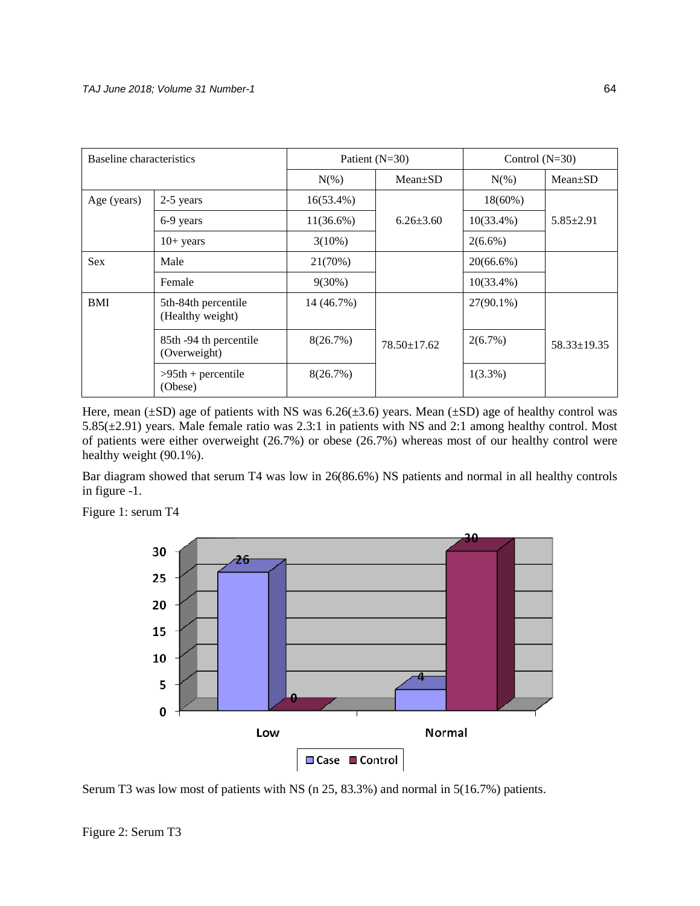| Baseline characteristics |                                         |              | Patient $(N=30)$  | Control $(N=30)$ |                   |
|--------------------------|-----------------------------------------|--------------|-------------------|------------------|-------------------|
|                          |                                         | $N(\%)$      | $Mean \pm SD$     | $N(\%)$          | $Mean+SD$         |
| Age (years)              | 2-5 years                               | $16(53.4\%)$ |                   | $18(60\%)$       | $5.85 \pm 2.91$   |
|                          | 6-9 years                               | $11(36.6\%)$ | $6.26 \pm 3.60$   | $10(33.4\%)$     |                   |
|                          | $10+$ years                             | $3(10\%)$    |                   | $2(6.6\%)$       |                   |
| <b>Sex</b>               | Male                                    | 21(70%)      |                   | $20(66.6\%)$     |                   |
|                          | Female                                  | $9(30\%)$    |                   | $10(33.4\%)$     |                   |
| <b>BMI</b>               | 5th-84th percentile<br>(Healthy weight) | 14 (46.7%)   |                   | $27(90.1\%)$     | $58.33 \pm 19.35$ |
|                          | 85th -94 th percentile<br>(Overweight)  | 8(26.7%)     | $78.50 \pm 17.62$ | 2(6.7%)          |                   |
|                          | $>95th$ + percentile<br>(Obese)         | 8(26.7%)     |                   | $1(3.3\%)$       |                   |

Here, mean  $(\pm SD)$  age of patients with NS was 6.26( $\pm 3.6$ ) years. Mean ( $\pm SD$ ) age of healthy control was 5.85(±2.91) years. Male female ratio was 2.3:1 in patients with NS and 2:1 among healthy control. Most of patients were either overweight (26.7%) or obese (26.7%) whereas most of our healthy control were healthy weight (90.1%).

Bar diagram showed that serum T4 was low in 26(86.6%) NS patients and normal in all healthy controls in figure -1.



Figure 1: serum T4

Serum T3 was low most of patients with NS (n 25, 83.3%) and normal in 5(16.7%) patients.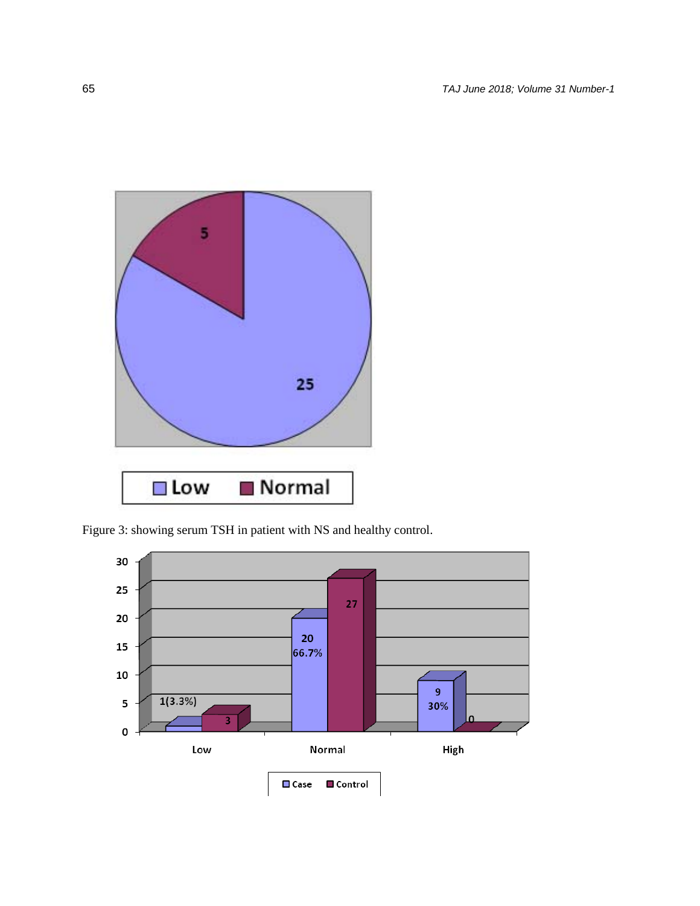

Figure 3: showing serum TSH in patient with NS and healthy control.

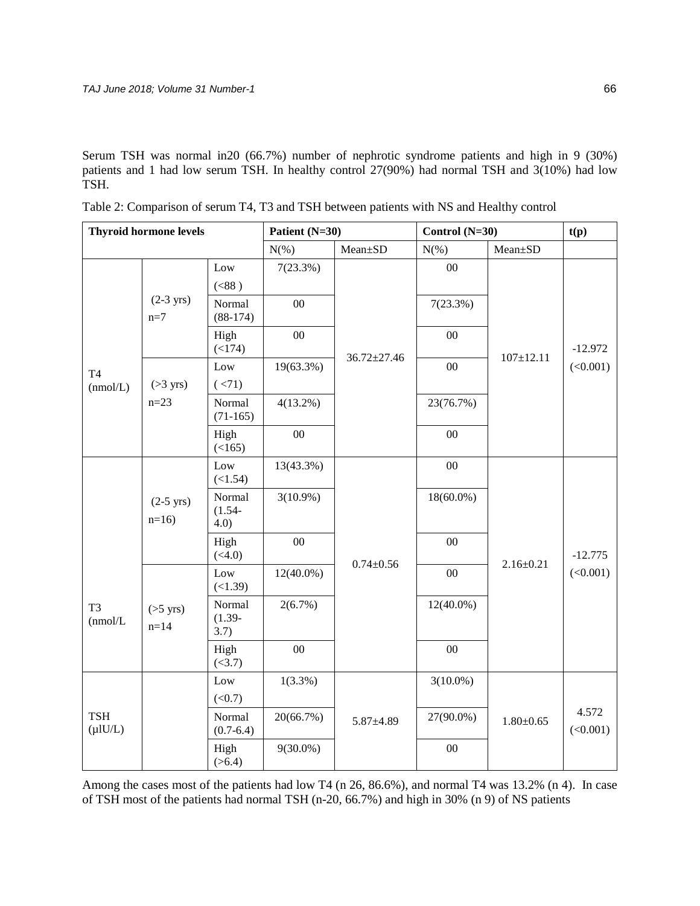Serum TSH was normal in20 (66.7%) number of nephrotic syndrome patients and high in 9 (30%) patients and 1 had low serum TSH. In healthy control 27(90%) had normal TSH and 3(10%) had low TSH.

| <b>Thyroid hormone levels</b> |                                |                                 | Patient (N=30) |                   | Control (N=30) |                 | t(p)                  |
|-------------------------------|--------------------------------|---------------------------------|----------------|-------------------|----------------|-----------------|-----------------------|
|                               |                                |                                 | $N(\%)$        | Mean±SD           | $N(\% )$       | Mean±SD         |                       |
| <b>T4</b><br>(mmol/L)         | $(2-3$ yrs)<br>$n=7$           | Low                             | 7(23.3%)       | $36.72 \pm 27.46$ | $00\,$         | $107 \pm 12.11$ | $-12.972$<br>(<0.001) |
|                               |                                | (< 88 )<br>Normal<br>$(88-174)$ | $00\,$         |                   | 7(23.3%)       |                 |                       |
|                               |                                | High<br>(<174)                  | $00\,$         |                   | $00\,$         |                 |                       |
|                               | $($ >3 yrs)<br>$n = 23$        | Low                             | 19(63.3%)      |                   | 00             |                 |                       |
|                               |                                | (< 71)                          |                |                   |                |                 |                       |
|                               |                                | Normal<br>$(71-165)$            | $4(13.2\%)$    |                   | 23(76.7%)      |                 |                       |
|                               |                                | High<br>(<165)                  | 00             |                   | 00             |                 |                       |
|                               | $(2-5$ yrs)<br>$n=16$          | Low<br>(<1.54)                  | 13(43.3%)      | $0.74 \pm 0.56$   | $00\,$         | $2.16 \pm 0.21$ | $-12.775$<br>(<0.001) |
|                               |                                | Normal<br>$(1.54 -$<br>4.0)     | $3(10.9\%)$    |                   | $18(60.0\%)$   |                 |                       |
|                               |                                | High<br>(<4.0)                  | $00\,$         |                   | $00\,$         |                 |                       |
| T <sub>3</sub><br>(nmol/L)    | $(55 \text{ yrs})$<br>$n = 14$ | Low<br>(<1.39)                  | $12(40.0\%)$   |                   | $00\,$         |                 |                       |
|                               |                                | Normal<br>$(1.39-$<br>3.7)      | 2(6.7%)        |                   | $12(40.0\%)$   |                 |                       |
|                               |                                | High<br>(<3.7)                  | $00\,$         |                   | $00\,$         |                 |                       |
| <b>TSH</b><br>$(\mu I U/L)$   |                                | Low                             | $1(3.3\%)$     | $5.87 \pm 4.89$   | $3(10.0\%)$    | $1.80 \pm 0.65$ | 4.572<br>(<0.001)     |
|                               |                                | (<0.7)                          |                |                   |                |                 |                       |
|                               |                                | Normal<br>$(0.7 - 6.4)$         | 20(66.7%)      |                   | 27(90.0%)      |                 |                       |
|                               |                                | High<br>(>6.4)                  | $9(30.0\%)$    |                   | $00\,$         |                 |                       |

Table 2: Comparison of serum T4, T3 and TSH between patients with NS and Healthy control

Among the cases most of the patients had low T4 (n 26, 86.6%), and normal T4 was 13.2% (n 4). In case of TSH most of the patients had normal TSH (n-20, 66.7%) and high in 30% (n 9) of NS patients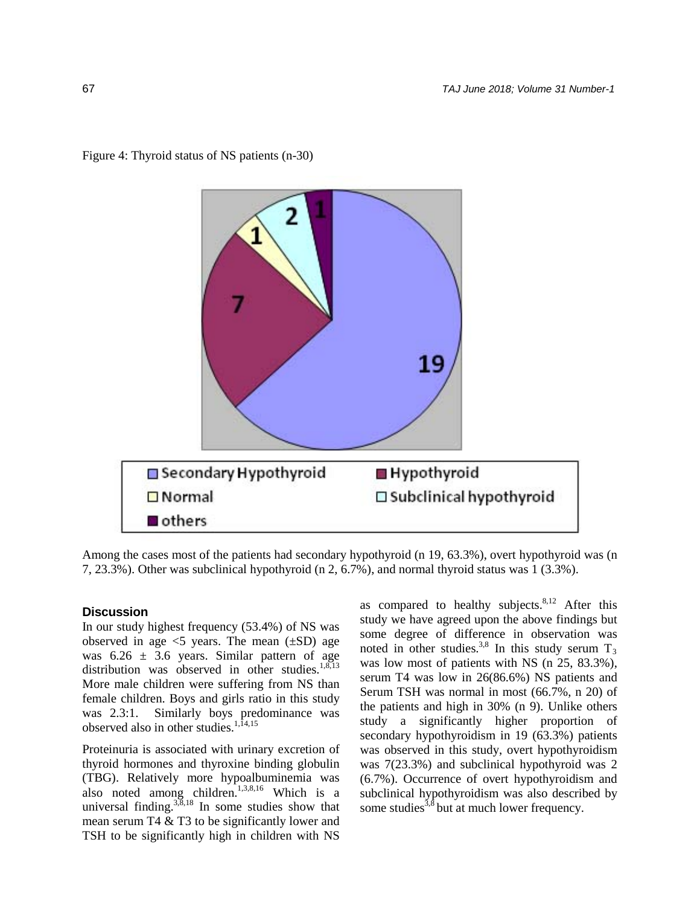

Figure 4: Thyroid status of NS patients (n-30)

Among the cases most of the patients had secondary hypothyroid (n 19, 63.3%), overt hypothyroid was (n 7, 23.3%). Other was subclinical hypothyroid (n 2, 6.7%), and normal thyroid status was 1 (3.3%).

## **Discussion**

In our study highest frequency (53.4%) of NS was observed in age  $\leq$  years. The mean  $(\pm SD)$  age was  $6.26 \pm 3.6$  years. Similar pattern of age distribution was observed in other studies.<sup>1,8,13</sup> More male children were suffering from NS than female children. Boys and girls ratio in this study was 2.3:1. Similarly boys predominance was observed also in other studies. $1,14,15$ 

Proteinuria is associated with urinary excretion of thyroid hormones and thyroxine binding globulin (TBG). Relatively more hypoalbuminemia was also noted among children.<sup>1,3,8,16</sup> Which is a universal finding. $3,3,18$  In some studies show that mean serum T4 & T3 to be significantly lower and TSH to be significantly high in children with NS

as compared to healthy subjects. $8,12$  After this study we have agreed upon the above findings but some degree of difference in observation was noted in other studies.<sup>3,8</sup> In this study serum  $T_3$ was low most of patients with NS (n 25, 83.3%), serum T4 was low in 26(86.6%) NS patients and Serum TSH was normal in most (66.7%, n 20) of the patients and high in 30% (n 9). Unlike others study a significantly higher proportion of secondary hypothyroidism in 19 (63.3%) patients was observed in this study, overt hypothyroidism was 7(23.3%) and subclinical hypothyroid was 2 (6.7%). Occurrence of overt hypothyroidism and subclinical hypothyroidism was also described by some studies<sup>3,8</sup> but at much lower frequency.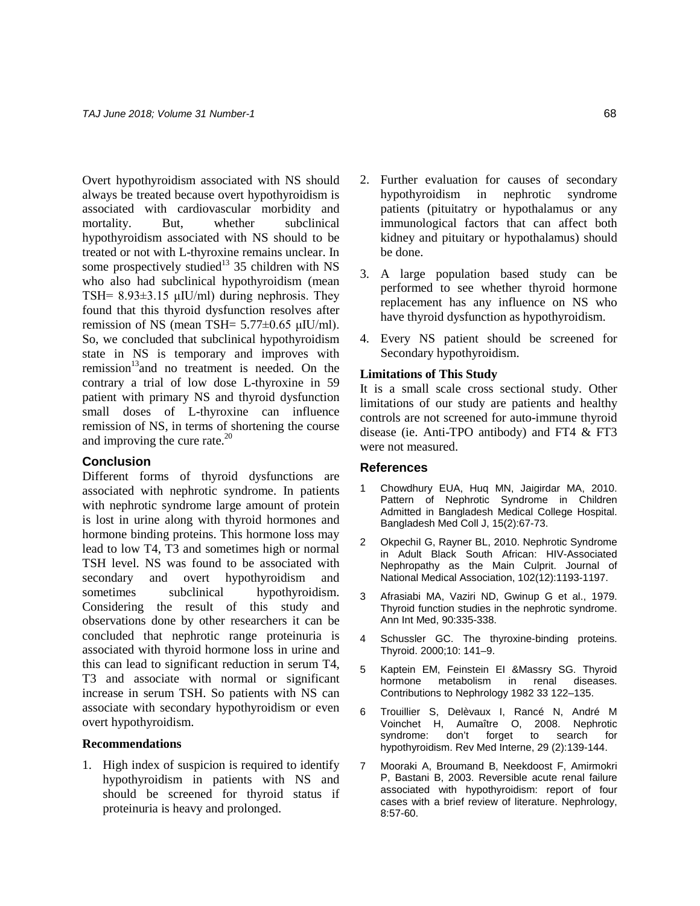Overt hypothyroidism associated with NS should always be treated because overt hypothyroidism is associated with cardiovascular morbidity and mortality. But, whether subclinical hypothyroidism associated with NS should to be treated or not with L-thyroxine remains unclear. In some prospectively studied<sup>13</sup> 35 children with NS who also had subclinical hypothyroidism (mean TSH=  $8.93\pm3.15$  µIU/ml) during nephrosis. They found that this thyroid dysfunction resolves after remission of NS (mean TSH=  $5.77\pm0.65$   $\mu$ IU/ml). So, we concluded that subclinical hypothyroidism state in NS is temporary and improves with remission<sup>13</sup> and no treatment is needed. On the contrary a trial of low dose L-thyroxine in 59 patient with primary NS and thyroid dysfunction small doses of L-thyroxine can influence remission of NS, in terms of shortening the course and improving the cure rate. $^{20}$ 

#### **Conclusion**

Different forms of thyroid dysfunctions are associated with nephrotic syndrome. In patients with nephrotic syndrome large amount of protein is lost in urine along with thyroid hormones and hormone binding proteins. This hormone loss may lead to low T4, T3 and sometimes high or normal TSH level. NS was found to be associated with secondary and overt hypothyroidism and sometimes subclinical hypothyroidism. Considering the result of this study and observations done by other researchers it can be concluded that nephrotic range proteinuria is associated with thyroid hormone loss in urine and this can lead to significant reduction in serum T4, T3 and associate with normal or significant increase in serum TSH. So patients with NS can associate with secondary hypothyroidism or even overt hypothyroidism.

#### **Recommendations**

1. High index of suspicion is required to identify hypothyroidism in patients with NS and should be screened for thyroid status if proteinuria is heavy and prolonged.

- 2. Further evaluation for causes of secondary hypothyroidism in nephrotic syndrome patients (pituitatry or hypothalamus or any immunological factors that can affect both kidney and pituitary or hypothalamus) should be done.
- 3. A large population based study can be performed to see whether thyroid hormone replacement has any influence on NS who have thyroid dysfunction as hypothyroidism.
- 4. Every NS patient should be screened for Secondary hypothyroidism.

## **Limitations of This Study**

It is a small scale cross sectional study. Other limitations of our study are patients and healthy controls are not screened for auto-immune thyroid disease (ie. Anti-TPO antibody) and FT4 & FT3 were not measured.

#### **References**

- 1 Chowdhury EUA, Huq MN, Jaigirdar MA, 2010. Pattern of Nephrotic Syndrome in Children Admitted in Bangladesh Medical College Hospital. Bangladesh Med Coll J, 15(2):67-73.
- 2 OkpechiI G, Rayner BL, 2010. Nephrotic Syndrome in Adult Black South African: HIV-Associated Nephropathy as the Main Culprit. Journal of National Medical Association, 102(12):1193-1197.
- 3 Afrasiabi MA, Vaziri ND, Gwinup G et al., 1979. Thyroid function studies in the nephrotic syndrome. Ann Int Med, 90:335-338.
- 4 Schussler GC. The thyroxine-binding proteins. Thyroid. 2000;10: 141–9.
- 5 Kaptein EM, Feinstein EI &Massry SG. Thyroid hormone metabolism in renal diseases. Contributions to Nephrology 1982 33 122–135.
- 6 Trouillier S, Delèvaux I, Rancé N, André M Voinchet H, Aumaître O, 2008. Nephrotic syndrome: don't forget to search for hypothyroidism. Rev Med Interne, 29 (2):139-144.
- 7 Mooraki A, Broumand B, Neekdoost F, Amirmokri P, Bastani B, 2003. Reversible acute renal failure associated with hypothyroidism: report of four cases with a brief review of literature. Nephrology, 8:57-60.